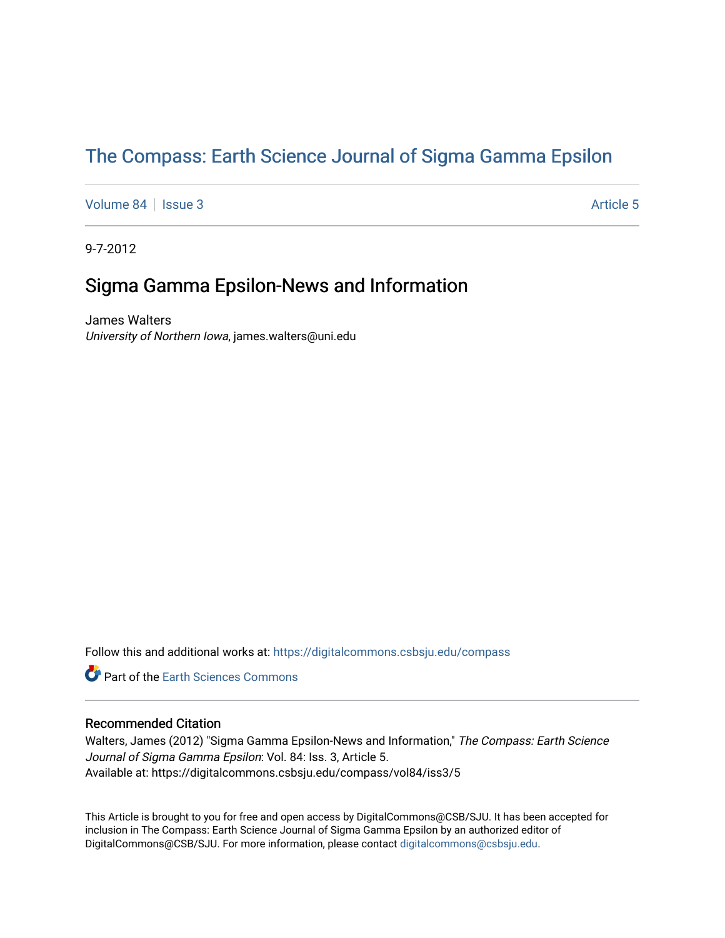# [The Compass: Earth Science Journal of Sigma Gamma Epsilon](https://digitalcommons.csbsju.edu/compass)

[Volume 84](https://digitalcommons.csbsju.edu/compass/vol84) | [Issue 3](https://digitalcommons.csbsju.edu/compass/vol84/iss3) Article 5

9-7-2012

## Sigma Gamma Epsilon-News and Information

James Walters University of Northern Iowa, james.walters@uni.edu

Follow this and additional works at: [https://digitalcommons.csbsju.edu/compass](https://digitalcommons.csbsju.edu/compass?utm_source=digitalcommons.csbsju.edu%2Fcompass%2Fvol84%2Fiss3%2F5&utm_medium=PDF&utm_campaign=PDFCoverPages)

**P** Part of the Earth Sciences Commons

#### Recommended Citation

Walters, James (2012) "Sigma Gamma Epsilon-News and Information," The Compass: Earth Science Journal of Sigma Gamma Epsilon: Vol. 84: Iss. 3, Article 5. Available at: https://digitalcommons.csbsju.edu/compass/vol84/iss3/5

This Article is brought to you for free and open access by DigitalCommons@CSB/SJU. It has been accepted for inclusion in The Compass: Earth Science Journal of Sigma Gamma Epsilon by an authorized editor of DigitalCommons@CSB/SJU. For more information, please contact [digitalcommons@csbsju.edu](mailto:digitalcommons@csbsju.edu).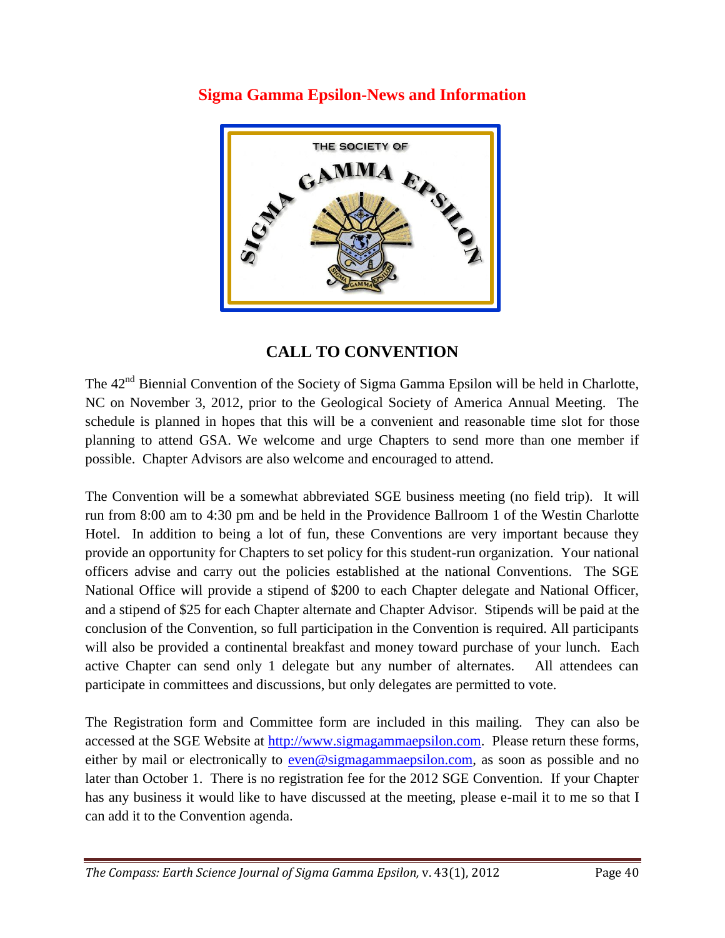

### **Sigma Gamma Epsilon-News and Information**

### **CALL TO CONVENTION**

The 42<sup>nd</sup> Biennial Convention of the Society of Sigma Gamma Epsilon will be held in Charlotte, NC on November 3, 2012, prior to the Geological Society of America Annual Meeting. The schedule is planned in hopes that this will be a convenient and reasonable time slot for those planning to attend GSA. We welcome and urge Chapters to send more than one member if possible. Chapter Advisors are also welcome and encouraged to attend.

The Convention will be a somewhat abbreviated SGE business meeting (no field trip). It will run from 8:00 am to 4:30 pm and be held in the Providence Ballroom 1 of the Westin Charlotte Hotel. In addition to being a lot of fun, these Conventions are very important because they provide an opportunity for Chapters to set policy for this student-run organization. Your national officers advise and carry out the policies established at the national Conventions. The SGE National Office will provide a stipend of \$200 to each Chapter delegate and National Officer, and a stipend of \$25 for each Chapter alternate and Chapter Advisor. Stipends will be paid at the conclusion of the Convention, so full participation in the Convention is required. All participants will also be provided a continental breakfast and money toward purchase of your lunch. Each active Chapter can send only 1 delegate but any number of alternates. All attendees can participate in committees and discussions, but only delegates are permitted to vote.

The Registration form and Committee form are included in this mailing. They can also be accessed at the SGE Website at [http://www.sigmagammaepsilon.com.](http://www.sigmagammaepsilon.com/) Please return these forms, either by mail or electronically to [even@sigmagammaepsilon.com,](mailto:even@sigmagammaepsilon.com) as soon as possible and no later than October 1. There is no registration fee for the 2012 SGE Convention. If your Chapter has any business it would like to have discussed at the meeting, please e-mail it to me so that I can add it to the Convention agenda.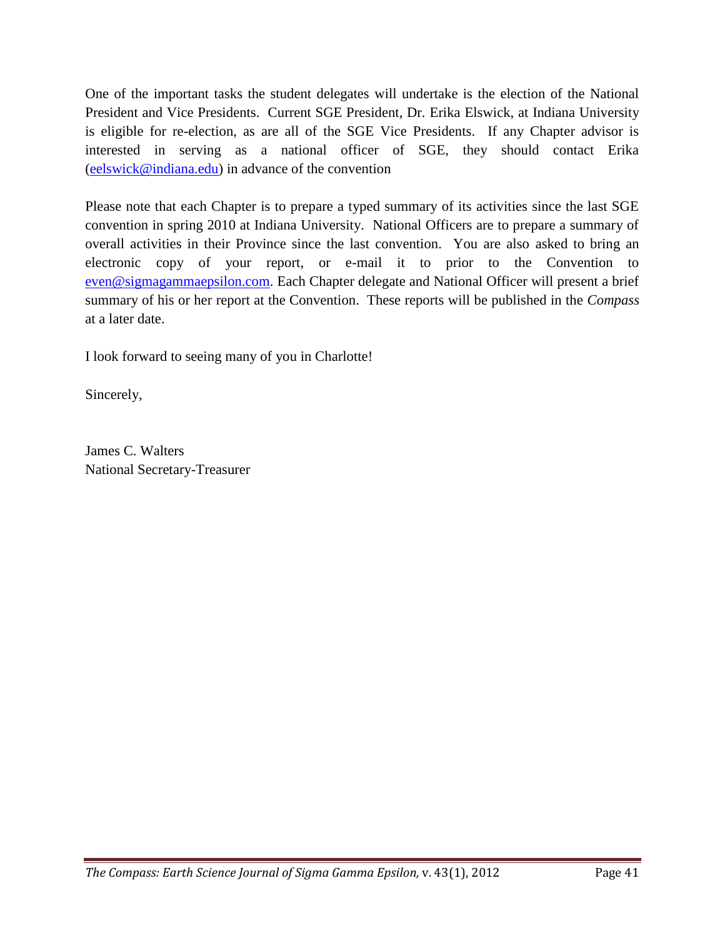One of the important tasks the student delegates will undertake is the election of the National President and Vice Presidents. Current SGE President, Dr. Erika Elswick, at Indiana University is eligible for re-election, as are all of the SGE Vice Presidents. If any Chapter advisor is interested in serving as a national officer of SGE, they should contact Erika [\(eelswick@indiana.edu\)](mailto:eelswick@indiana.edu) in advance of the convention

Please note that each Chapter is to prepare a typed summary of its activities since the last SGE convention in spring 2010 at Indiana University. National Officers are to prepare a summary of overall activities in their Province since the last convention. You are also asked to bring an electronic copy of your report, or e-mail it to prior to the Convention to [even@sigmagammaepsilon.com.](mailto:even@sigmagammaepsilon.com) Each Chapter delegate and National Officer will present a brief summary of his or her report at the Convention. These reports will be published in the *Compass* at a later date.

I look forward to seeing many of you in Charlotte!

Sincerely,

James C. Walters National Secretary-Treasurer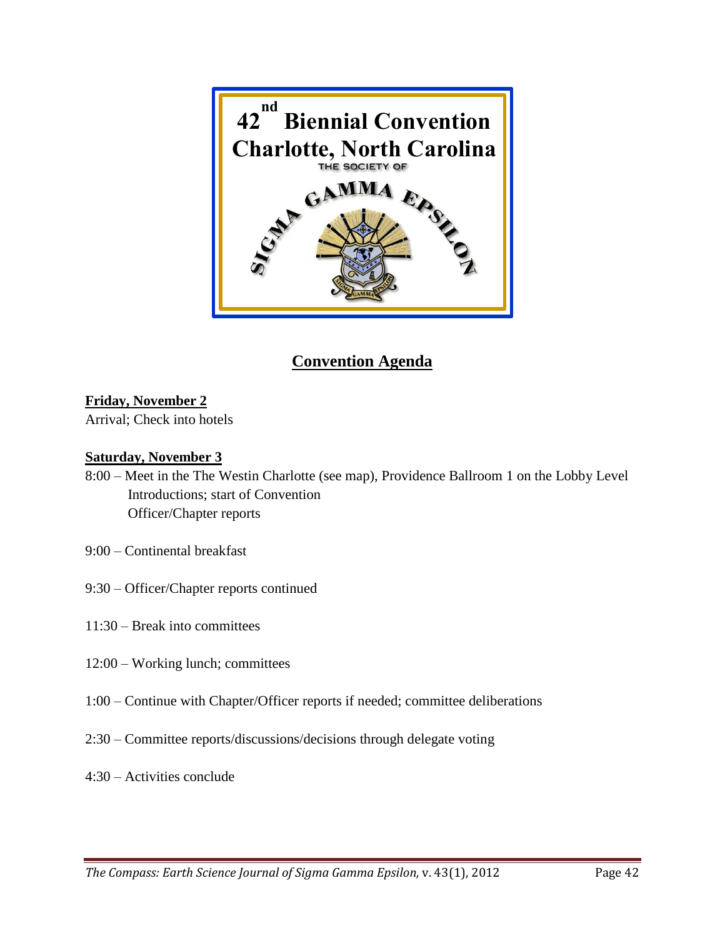

## **Convention Agenda**

#### **Friday, November 2**

Arrival; Check into hotels

#### **Saturday, November 3**

- 8:00 Meet in the The Westin Charlotte (see map), Providence Ballroom 1 on the Lobby Level Introductions; start of Convention Officer/Chapter reports
- 9:00 Continental breakfast
- 9:30 Officer/Chapter reports continued
- 11:30 Break into committees
- 12:00 Working lunch; committees
- 1:00 Continue with Chapter/Officer reports if needed; committee deliberations
- 2:30 Committee reports/discussions/decisions through delegate voting
- 4:30 Activities conclude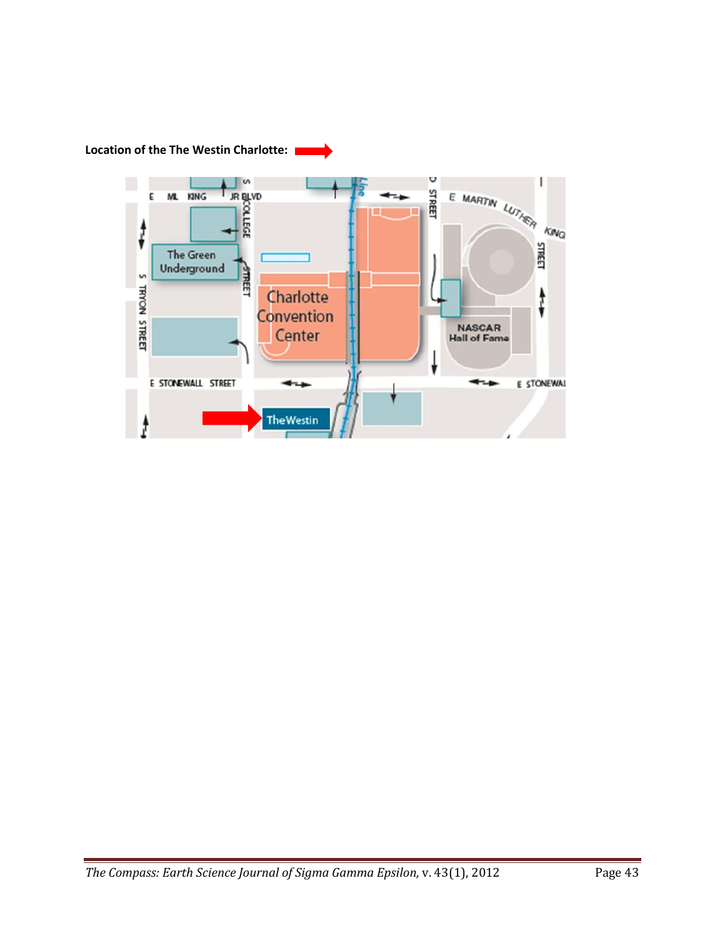**Location of the The Westin Charlotte:**

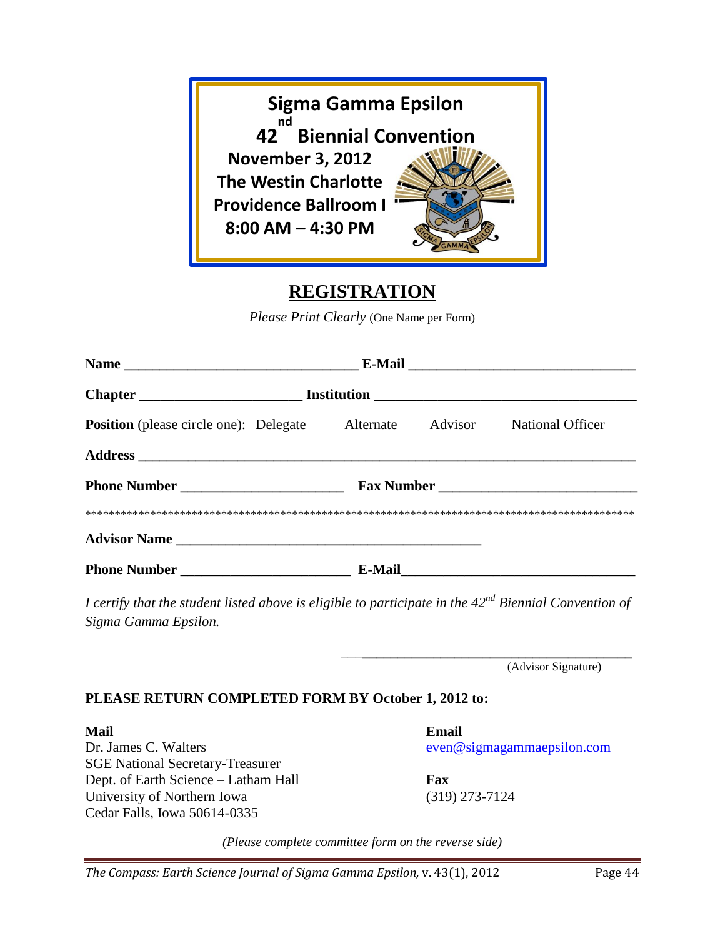

## **REGISTRATION**

*Please Print Clearly* (One Name per Form)

| <b>Position</b> (please circle one): Delegate Alternate |  |  | Advisor | National Officer                                                                                              |  |  |
|---------------------------------------------------------|--|--|---------|---------------------------------------------------------------------------------------------------------------|--|--|
|                                                         |  |  |         |                                                                                                               |  |  |
|                                                         |  |  |         | Fax Number                                                                                                    |  |  |
|                                                         |  |  |         |                                                                                                               |  |  |
|                                                         |  |  |         |                                                                                                               |  |  |
|                                                         |  |  |         | E-Mail 2008 2008 2010 2021 2022 2023 2024 2022 2022 2023 2024 2022 2023 2024 2022 2023 2024 2022 2023 2024 20 |  |  |

*I certify that the student listed above is eligible to participate in the 42nd Biennial Convention of Sigma Gamma Epsilon.*

(Advisor Signature)

#### **PLEASE RETURN COMPLETED FORM BY October 1, 2012 to:**

**Mail Email**  Dr. James C. Walters even were even were even were even were even were even were even were even were even were even were even were even were even were even were even were even were even were even were even were even were e SGE National Secretary-Treasurer Dept. of Earth Science – Latham Hall **Fax** University of Northern Iowa (319) 273-7124 Cedar Falls, Iowa 50614-0335

*\_\_\_***\_\_\_\_\_\_\_\_\_\_\_\_\_\_\_\_\_\_\_\_\_\_\_\_\_\_\_\_\_\_\_\_\_\_\_\_\_\_**

*(Please complete committee form on the reverse side)*

*The Compass: Earth Science Journal of Sigma Gamma Epsilon, v. 43(1), 2012* Page 44